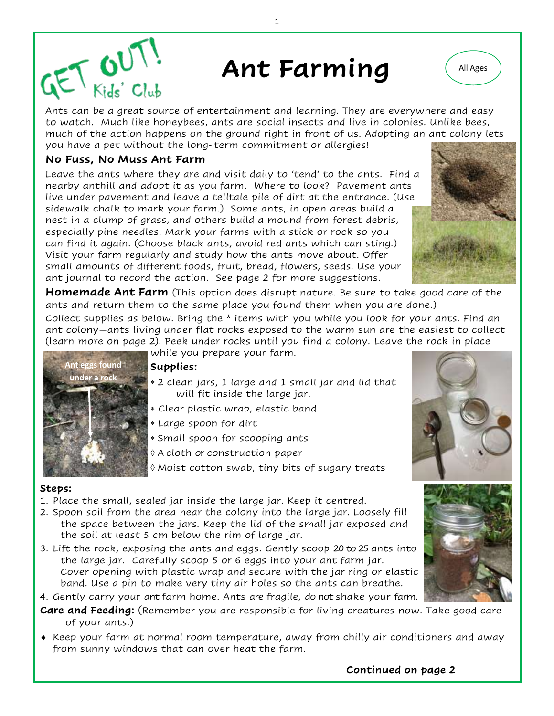# Ant Farming  $\left($  All Ages

Ants can be a great source of entertainment and learning. They are everywhere and easy to watch. Much like honeybees, ants are social insects and live in colonies. Unlike bees, much of the action happens on the ground right in front of us. Adopting an ant colony lets you have a pet without the long-term commitment or allergies!

### **No Fuss, No Muss Ant Farm**

 $6U$ 

Leave the ants where they are and visit daily to 'tend' to the ants. Find a nearby anthill and adopt it as you farm. Where to look? Pavement ants live under pavement and leave a telltale pile of dirt at the entrance. (Use sidewalk chalk to mark your farm.) Some ants, in open areas build a nest in a clump of grass, and others build a mound from forest debris, especially pine needles. Mark your farms with a stick or rock so you can find it again. (Choose black ants, avoid red ants which can sting.) Visit your farm regularly and study how the ants move about. Offer small amounts of different foods, fruit, bread, flowers, seeds. Use your ant journal to record the action. See page 2 for more suggestions.

**Homemade Ant Farm** (This option does disrupt nature. Be sure to take good care of the ants and return them to the same place you found them when you are done.)

Collect supplies as below. Bring the \* items with you while you look for your ants. Find an ant colony—ants living under flat rocks exposed to the warm sun are the easiest to collect (learn more on page 2). Peek under rocks until you find a colony. Leave the rock in place while you prepare your farm.



### **Supplies:**

- 2 clean jars, 1 large and 1 small jar and lid that will fit inside the large jar.
- Clear plastic wrap, elastic band
- Large spoon for dirt
- Small spoon for scooping ants
- A cloth or construction paper
- $\Diamond$  Moist cotton swab,  $\underline{\mathrm{tiny}}$  bits of sugary treats

### **Steps:**

- 1. Place the small, sealed jar inside the large jar. Keep it centred.
- 2. Spoon soil from the area near the colony into the large jar. Loosely fill the space between the jars. Keep the lid of the small jar exposed and the soil at least 5 cm below the rim of large jar.
- 3. Lift the rock, exposing the ants and eggs. Gently scoop 20 to 25 ants into the large jar. Carefully scoop 5 or 6 eggs into your ant farm jar. Cover opening with plastic wrap and secure with the jar ring or elastic band. Use a pin to make very tiny air holes so the ants can breathe.

4. Gently carry your ant farm home. Ants are fragile, do not shake your farm.

- **Care and Feeding:** (Remember you are responsible for living creatures now. Take good care of your ants.)
- $\bullet$  Keep your farm at normal room temperature, away from chilly air conditioners and away from sunny windows that can over heat the farm.







1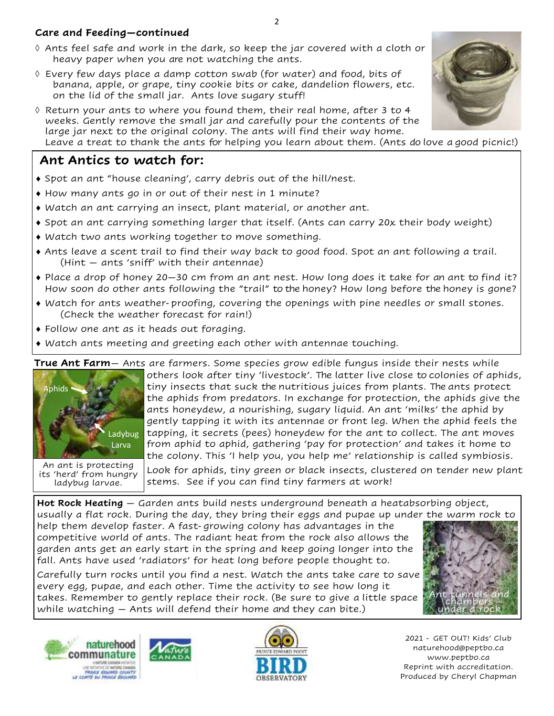## **Care and Feeding—continued**

- $\Diamond$  Ants feel safe and work in the dark, so keep the jar covered with a cloth or heavy paper when you are not watching the ants.
- $\Diamond$  Every few days place a damp cotton swab (for water) and food, bits of banana, apple, or grape, tiny cookie bits or cake, dandelion flowers, etc. on the lid of the small jar. Ants love sugary stuff!
- $\Diamond$  Return your ants to where you found them, their real home, after 3 to 4 weeks. Gently remove the small jar and carefully pour the contents of the large jar next to the original colony. The ants will find their way home. Leave a treat to thank the ants for helping you learn about them. (Ants do love a good picnic!)

# **Ant Antics to watch for:**

- Spot an ant "house cleaning', carry debris out of the hill/nest.
- How many ants go in or out of their nest in 1 minute?
- Watch an ant carrying an insect, plant material, or another ant.
- Spot an ant carrying something larger that itself. (Ants can carry 20x their body weight)
- Watch two ants working together to move something.
- Ants leave a scent trail to find their way back to good food. Spot an ant following a trail. (Hint — ants 'sniff' with their antennae)
- $\bullet$  Place a drop of honey 20–30 cm from an ant nest. How long does it take for an ant to find it? How soon do other ants following the "trail" to the honey? How long before the honey is gone?
- Watch for ants weather-proofing, covering the openings with pine needles or small stones. (Check the weather forecast for rain!)
- Follow one ant as it heads out foraging.
- Watch ants meeting and greeting each other with antennae touching.

**True Ant Farm**— Ants are farmers. Some species grow edible fungus inside their nests while others look after tiny 'livestock'. The latter live close to colonies of aphids, tiny insects that suck the nutritious juices from plants. The ants protect the aphids from predators. In exchange for protection, the aphids give the ants honeydew, a nourishing, sugary liquid. An ant 'milks' the aphid by gently tapping it with its antennae or front leg. When the aphid feels the tapping, it secrets (pees) honeydew for the ant to collect. The ant moves from aphid to aphid, gathering 'pay for protection' and takes it home to the colony. This 'I help you, you help me' relationship is called symbiosis. An ant is protecting Aphids Ladybug Larva

Look for aphids, tiny green or black insects, clustered on tender new plant stems. See if you can find tiny farmers at work!

**Hot Rock Heating** — Garden ants build nests underground beneath a heatabsorbing object, usually a flat rock. During the day, they bring their eggs and pupae up under the warm rock to

help them develop faster. A fast-growing colony has advantages in the competitive world of ants. The radiant heat from the rock also allows the garden ants get an early start in the spring and keep going longer into the fall. Ants have used 'radiators' for heat long before people thought to.

Carefully turn rocks until you find a nest. Watch the ants take care to save every egg, pupae, and each other. Time the activity to see how long it takes. Remember to gently replace their rock. (Be sure to give a little space while watching — Ants will defend their home and they can bite.)



its 'herd' from hungry ladybug larvae.





2021 - GET OUT! Kids' Club naturehood@peptbo.ca www.peptbo.ca Reprint with accreditation. Produced by Cheryl Chapman

Ant tunnels and chambers under a rock